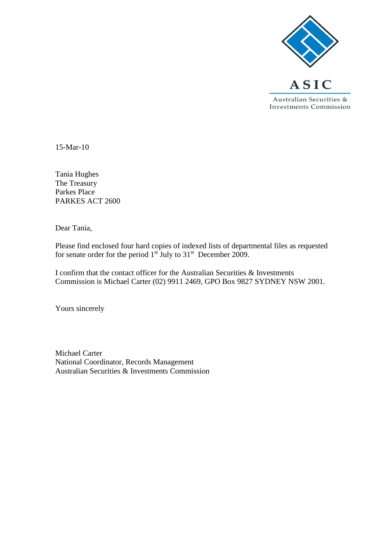

15-Mar-10

Tania Hughes The Treasury Parkes Place PARKES ACT 2600

Dear Tania,

Please find enclosed four hard copies of indexed lists of departmental files as requested for senate order for the period  $1<sup>st</sup>$  July to  $31<sup>st</sup>$  December 2009.

I confirm that the contact officer for the Australian Securities & Investments Commission is Michael Carter (02) 9911 2469, GPO Box 9827 SYDNEY NSW 2001.

Yours sincerely

Michael Carter National Coordinator, Records Management Australian Securities & Investments Commission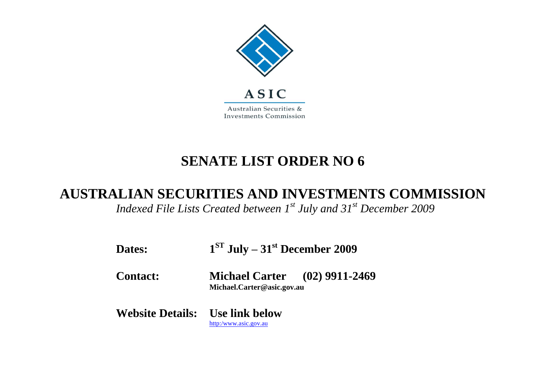

## **SENATE LIST ORDER NO 6**

## **AUSTRALIAN SECURITIES AND INVESTMENTS COMMISSION**

*Indexed File Lists Created between 1st July and 31st December 2009*

| Dates:                                 | $1ST$ July – 31 <sup>st</sup> December 2009                        |  |
|----------------------------------------|--------------------------------------------------------------------|--|
| <b>Contact:</b>                        | <b>Michael Carter</b> (02) 9911-2469<br>Michael.Carter@asic.gov.au |  |
| <b>Website Details:</b> Use link below | http:/www.asic.gov.au                                              |  |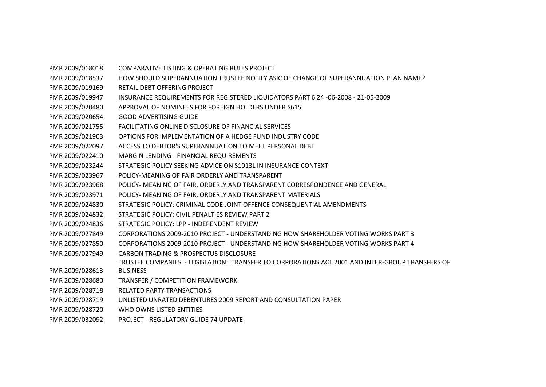PMR 2009/018018 COMPARATIVE LISTING & OPERATING RULES PROJECT PMR 2009/018537 HOW SHOULD SUPERANNUATION TRUSTEE NOTIFY ASIC OF CHANGE OF SUPERANNUATION PLAN NAME? PMR 2009/019169 RETAIL DEBT OFFERING PROJECT PMR 2009/019947 INSURANCE REQUIREMENTS FOR REGISTERED LIQUIDATORS PART 6 24 -06-2008 - 21-05-2009 PMR 2009/020480 APPROVAL OF NOMINEES FOR FOREIGN HOLDERS UNDER S615 PMR 2009/020654 GOOD ADVERTISING GUIDE PMR 2009/021755 FACILITATING ONLINE DISCLOSURE OF FINANCIAL SERVICES PMR 2009/021903 OPTIONS FOR IMPLEMENTATION OF A HEDGE FUND INDUSTRY CODE PMR 2009/022097 ACCESS TO DEBTOR'S SUPERANNUATION TO MEET PERSONAL DEBT PMR 2009/022410 MARGIN LENDING - FINANCIAL REQUIREMENTS PMR 2009/023244 STRATEGIC POLICY SEEKING ADVICE ON S1013L IN INSURANCE CONTEXT PMR 2009/023967 POLICY-MEANING OF FAIR ORDERLY AND TRANSPARENT PMR 2009/023968 POLICY- MEANING OF FAIR, ORDERLY AND TRANSPARENT CORRESPONDENCE AND GENERAL PMR 2009/023971 POLICY- MEANING OF FAIR, ORDERLY AND TRANSPARENT MATERIALS PMR 2009/024830 STRATEGIC POLICY: CRIMINAL CODE JOINT OFFENCE CONSEQUENTIAL AMENDMENTS PMR 2009/024832 STRATEGIC POLICY: CIVIL PENALTIES REVIEW PART 2 PMR 2009/024836 STRATEGIC POLICY: LPP - INDEPENDENT REVIEW PMR 2009/027849 CORPORATIONS 2009-2010 PROJECT - UNDERSTANDING HOW SHAREHOLDER VOTING WORKS PART 3 PMR 2009/027850 CORPORATIONS 2009-2010 PROJECT - UNDERSTANDING HOW SHAREHOLDER VOTING WORKS PART 4 PMR 2009/027949 CARBON TRADING & PROSPECTUS DISCLOSURE PMR 2009/028613 TRUSTEE COMPANIES - LEGISLATION: TRANSFER TO CORPORATIONS ACT 2001 AND INTER-GROUP TRANSFERS OF **BUSINESS** PMR 2009/028680 TRANSFER / COMPETITION FRAMEWORK PMR 2009/028718 RELATED PARTY TRANSACTIONS PMR 2009/028719 UNLISTED UNRATED DEBENTURES 2009 REPORT AND CONSULTATION PAPER PMR 2009/028720 WHO OWNS LISTED ENTITIES PMR 2009/032092 PROJECT - REGULATORY GUIDE 74 UPDATE